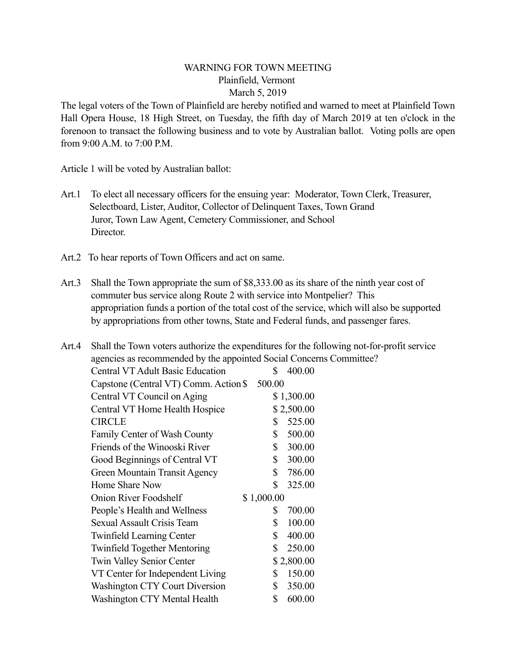## WARNING FOR TOWN MEETING Plainfield, Vermont March 5, 2019

The legal voters of the Town of Plainfield are hereby notified and warned to meet at Plainfield Town Hall Opera House, 18 High Street, on Tuesday, the fifth day of March 2019 at ten o'clock in the forenoon to transact the following business and to vote by Australian ballot. Voting polls are open from 9:00 A.M. to 7:00 P.M.

Article 1 will be voted by Australian ballot:

- Art.1 To elect all necessary officers for the ensuing year: Moderator, Town Clerk, Treasurer, Selectboard, Lister, Auditor, Collector of Delinquent Taxes, Town Grand Juror, Town Law Agent, Cemetery Commissioner, and School Director.
- Art.2 To hear reports of Town Officers and act on same.
- Art.3 Shall the Town appropriate the sum of \$8,333.00 as its share of the ninth year cost of commuter bus service along Route 2 with service into Montpelier? This appropriation funds a portion of the total cost of the service, which will also be supported by appropriations from other towns, State and Federal funds, and passenger fares.

| Art.4 |                                                                     | Shall the Town voters authorize the expenditures for the following not-for-profit service |
|-------|---------------------------------------------------------------------|-------------------------------------------------------------------------------------------|
|       | agencies as recommended by the appointed Social Concerns Committee? |                                                                                           |
|       | <b>Central VT Adult Basic Education</b>                             | 400.00<br>S.                                                                              |
|       | Capstone (Central VT) Comm. Action \$                               | 500.00                                                                                    |
|       | Central VT Council on Aging                                         | \$1,300.00                                                                                |
|       | Central VT Home Health Hospice                                      | \$2,500.00                                                                                |
|       | <b>CIRCLE</b>                                                       | 525.00<br>S                                                                               |
|       | Family Center of Wash County                                        | \$<br>500.00                                                                              |
|       | Friends of the Winooski River                                       | 300.00<br>\$                                                                              |
|       | Good Beginnings of Central VT                                       | 300.00<br>\$                                                                              |
|       | Green Mountain Transit Agency                                       | 786.00<br>\$                                                                              |
|       | Home Share Now                                                      | \$<br>325.00                                                                              |
|       | <b>Onion River Foodshelf</b>                                        | \$1,000.00                                                                                |
|       | People's Health and Wellness                                        | 700.00<br>S                                                                               |
|       | <b>Sexual Assault Crisis Team</b>                                   | 100.00<br>S                                                                               |
|       | <b>Twinfield Learning Center</b>                                    | 400.00<br>\$                                                                              |
|       | <b>Twinfield Together Mentoring</b>                                 | 250.00<br>\$                                                                              |
|       | <b>Twin Valley Senior Center</b>                                    | \$2,800.00                                                                                |
|       | VT Center for Independent Living                                    | 150.00<br>S                                                                               |
|       | Washington CTY Court Diversion                                      | 350.00<br>\$                                                                              |
|       | Washington CTY Mental Health                                        | \$<br>600.00                                                                              |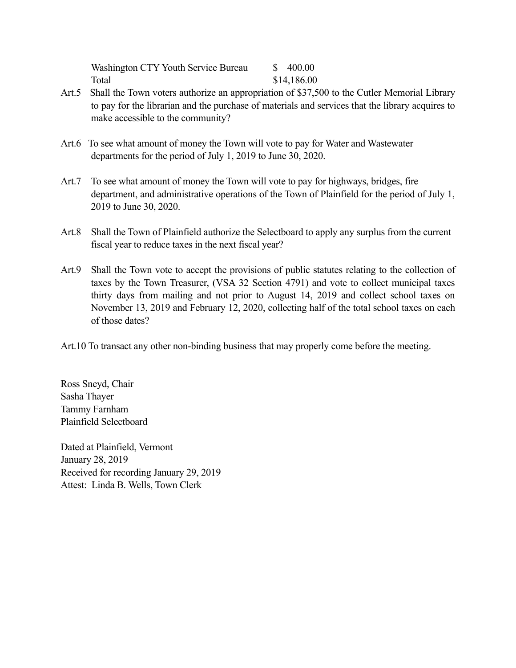Washington CTY Youth Service Bureau  $$ 400.00$ Total \$14,186.00

- Art.5 Shall the Town voters authorize an appropriation of \$37,500 to the Cutler Memorial Library to pay for the librarian and the purchase of materials and services that the library acquires to make accessible to the community?
- Art.6 To see what amount of money the Town will vote to pay for Water and Wastewater departments for the period of July 1, 2019 to June 30, 2020.
- Art.7 To see what amount of money the Town will vote to pay for highways, bridges, fire department, and administrative operations of the Town of Plainfield for the period of July 1, 2019 to June 30, 2020.
- Art.8 Shall the Town of Plainfield authorize the Selectboard to apply any surplus from the current fiscal year to reduce taxes in the next fiscal year?
- Art.9 Shall the Town vote to accept the provisions of public statutes relating to the collection of taxes by the Town Treasurer, (VSA 32 Section 4791) and vote to collect municipal taxes thirty days from mailing and not prior to August 14, 2019 and collect school taxes on November 13, 2019 and February 12, 2020, collecting half of the total school taxes on each of those dates?
- Art.10 To transact any other non-binding business that may properly come before the meeting.

Ross Sneyd, Chair Sasha Thayer Tammy Farnham Plainfield Selectboard

Dated at Plainfield, Vermont January 28, 2019 Received for recording January 29, 2019 Attest: Linda B. Wells, Town Clerk